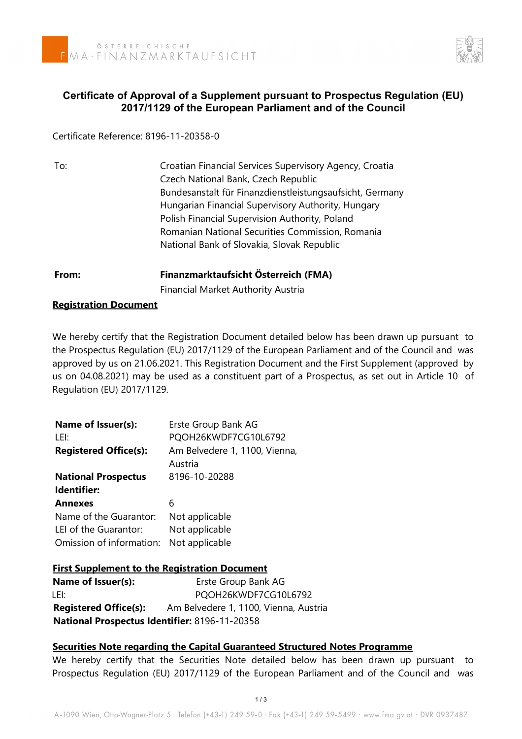

# **Certificate of Approval of a Supplement pursuant to Prospectus Regulation (EU) 2017/1129 of the European Parliament and of the Council**

Certificate Reference: 8196-11-20358-0

| To: | Croatian Financial Services Supervisory Agency, Croatia  |
|-----|----------------------------------------------------------|
|     | Czech National Bank, Czech Republic                      |
|     | Bundesanstalt für Finanzdienstleistungsaufsicht, Germany |
|     | Hungarian Financial Supervisory Authority, Hungary       |
|     | Polish Financial Supervision Authority, Poland           |
|     | Romanian National Securities Commission, Romania         |
|     | National Bank of Slovakia, Slovak Republic               |
|     |                                                          |

# **From: Finanzmarktaufsicht Österreich (FMA)** Financial Market Authority Austria

#### **Registration Document**

We hereby certify that the Registration Document detailed below has been drawn up pursuant to the Prospectus Regulation (EU) 2017/1129 of the European Parliament and of the Council and was approved by us on 21.06.2021. This Registration Document and the First Supplement (approved by us on 04.08.2021) may be used as a constituent part of a Prospectus, as set out in Article 10 of Regulation (EU) 2017/1129.

| Erste Group Bank AG<br>PQOH26KWDF7CG10L6792        |
|----------------------------------------------------|
| Am Belvedere 1, 1100, Vienna,<br>Austria           |
| 8196-10-20288                                      |
| 6                                                  |
| Not applicable<br>Not applicable<br>Not applicable |
|                                                    |

## **First Supplement to the Registration Document**

**Name of Issuer(s):** Erste Group Bank AG LEI: PQOH26KWDF7CG10L6792 **Registered Office(s):** Am Belvedere 1, 1100, Vienna, Austria **National Prospectus Identifier:** 8196-11-20358

## **Securities Note regarding the Capital Guaranteed Structured Notes Programme**

We hereby certify that the Securities Note detailed below has been drawn up pursuant to Prospectus Regulation (EU) 2017/1129 of the European Parliament and of the Council and was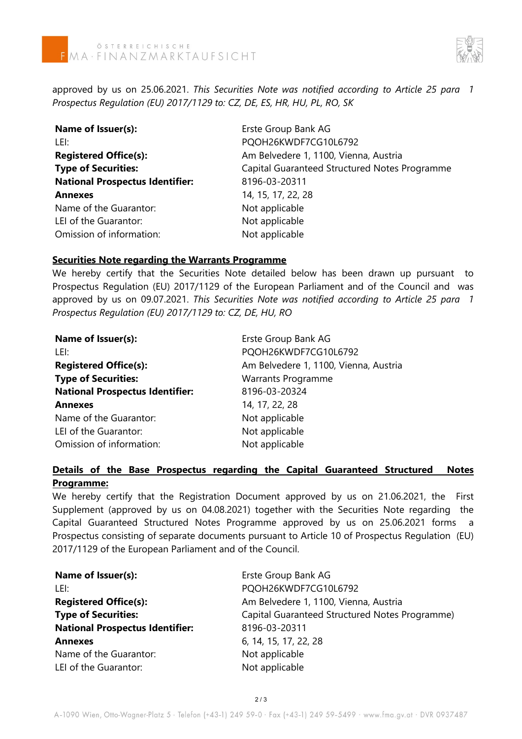

approved by us on 25.06.2021. *This Securities Note was notified according to Article 25 para 1 Prospectus Regulation (EU) 2017/1129 to: CZ, DE, ES, HR, HU, PL, RO, SK*

| Name of Issuer(s):                     | Erste Group Bank AG                           |
|----------------------------------------|-----------------------------------------------|
| LEI:                                   | PQOH26KWDF7CG10L6792                          |
| <b>Registered Office(s):</b>           | Am Belvedere 1, 1100, Vienna, Austria         |
| <b>Type of Securities:</b>             | Capital Guaranteed Structured Notes Programme |
| <b>National Prospectus Identifier:</b> | 8196-03-20311                                 |
| <b>Annexes</b>                         | 14, 15, 17, 22, 28                            |
| Name of the Guarantor:                 | Not applicable                                |
| LEI of the Guarantor:                  | Not applicable                                |
| Omission of information:               | Not applicable                                |

#### **Securities Note regarding the Warrants Programme**

We hereby certify that the Securities Note detailed below has been drawn up pursuant to Prospectus Regulation (EU) 2017/1129 of the European Parliament and of the Council and was approved by us on 09.07.2021. *This Securities Note was notified according to Article 25 para 1 Prospectus Regulation (EU) 2017/1129 to: CZ, DE, HU, RO*

| Name of Issuer(s):                     | Erste Group Bank AG                   |
|----------------------------------------|---------------------------------------|
| LEI:                                   | PQOH26KWDF7CG10L6792                  |
| <b>Registered Office(s):</b>           | Am Belvedere 1, 1100, Vienna, Austria |
| <b>Type of Securities:</b>             | Warrants Programme                    |
| <b>National Prospectus Identifier:</b> | 8196-03-20324                         |
| <b>Annexes</b>                         | 14, 17, 22, 28                        |
| Name of the Guarantor:                 | Not applicable                        |
| LEI of the Guarantor:                  | Not applicable                        |
| Omission of information:               | Not applicable                        |

## **Details of the Base Prospectus regarding the Capital Guaranteed Structured Notes Programme:**

We hereby certify that the Registration Document approved by us on 21.06.2021, the First Supplement (approved by us on 04.08.2021) together with the Securities Note regarding the Capital Guaranteed Structured Notes Programme approved by us on 25.06.2021 forms a Prospectus consisting of separate documents pursuant to Article 10 of Prospectus Regulation (EU) 2017/1129 of the European Parliament and of the Council.

| Name of Issuer(s):                     | Erste Group Bank AG                            |
|----------------------------------------|------------------------------------------------|
| LEI:                                   | PQOH26KWDF7CG10L6792                           |
| <b>Registered Office(s):</b>           | Am Belvedere 1, 1100, Vienna, Austria          |
| <b>Type of Securities:</b>             | Capital Guaranteed Structured Notes Programme) |
| <b>National Prospectus Identifier:</b> | 8196-03-20311                                  |
| <b>Annexes</b>                         | 6, 14, 15, 17, 22, 28                          |
| Name of the Guarantor:                 | Not applicable                                 |
| LEI of the Guarantor:                  | Not applicable                                 |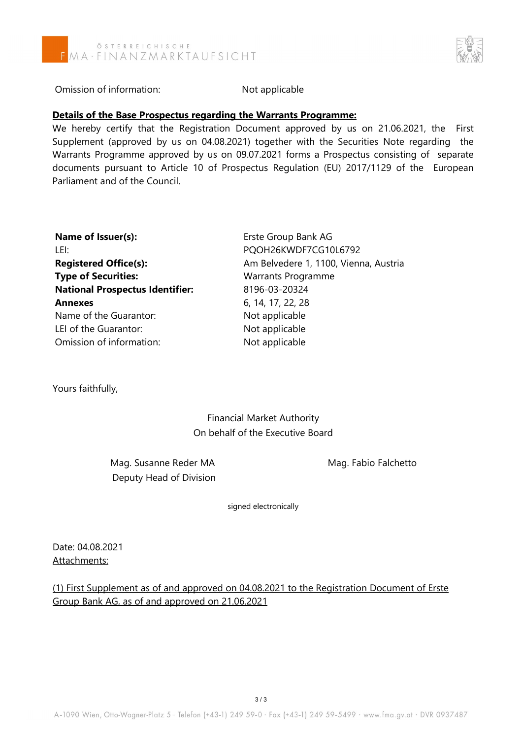



Omission of information: Not applicable

#### **Details of the Base Prospectus regarding the Warrants Programme:**

We hereby certify that the Registration Document approved by us on 21.06.2021, the First Supplement (approved by us on 04.08.2021) together with the Securities Note regarding the Warrants Programme approved by us on 09.07.2021 forms a Prospectus consisting of separate documents pursuant to Article 10 of Prospectus Regulation (EU) 2017/1129 of the European Parliament and of the Council.

| Name of Issuer(s):                     | Erste Group Bank AG                   |
|----------------------------------------|---------------------------------------|
| LEI:                                   | PQOH26KWDF7CG10L6792                  |
| <b>Registered Office(s):</b>           | Am Belvedere 1, 1100, Vienna, Austria |
| <b>Type of Securities:</b>             | <b>Warrants Programme</b>             |
| <b>National Prospectus Identifier:</b> | 8196-03-20324                         |
| <b>Annexes</b>                         | 6, 14, 17, 22, 28                     |
| Name of the Guarantor:                 | Not applicable                        |
| LEI of the Guarantor:                  | Not applicable                        |
| Omission of information:               | Not applicable                        |

Yours faithfully,

Financial Market Authority On behalf of the Executive Board

Mag. Susanne Reder MA Mag. Fabio Falchetto Deputy Head of Division

signed electronically

Date: 04.08.2021 Attachments:

(1) First Supplement as of and approved on 04.08.2021 to the Registration Document of Erste Group Bank AG, as of and approved on 21.06.2021